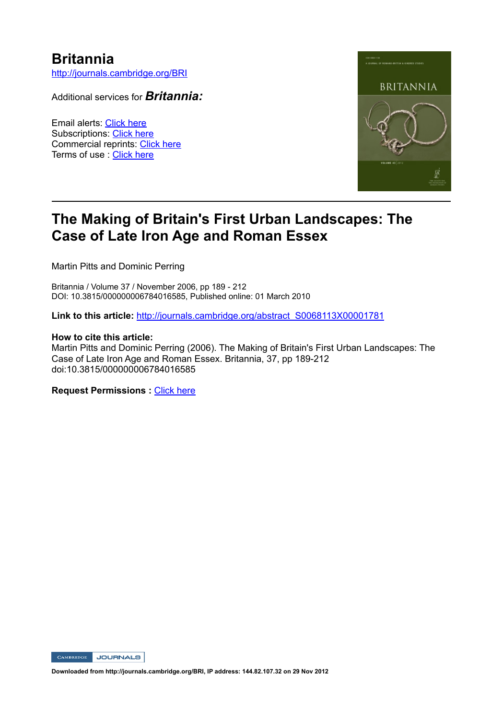## **Britannia**

http://journals.cambridge.org/BRI

Additional services for *Britannia:*

Email alerts: Click here Subscriptions: Click here Commercial reprints: Click here Terms of use : Click here



### **The Making of Britain's First Urban Landscapes: The Case of Late Iron Age and Roman Essex**

Martin Pitts and Dominic Perring

Britannia / Volume 37 / November 2006, pp 189 - 212 DOI: 10.3815/000000006784016585, Published online: 01 March 2010

Link to this article: http://journals.cambridge.org/abstract\_S0068113X00001781

#### **How to cite this article:**

Martin Pitts and Dominic Perring (2006). The Making of Britain's First Urban Landscapes: The Case of Late Iron Age and Roman Essex. Britannia, 37, pp 189-212 doi:10.3815/000000006784016585

**Request Permissions :** Click here

CAMBRIDGE JOURNALS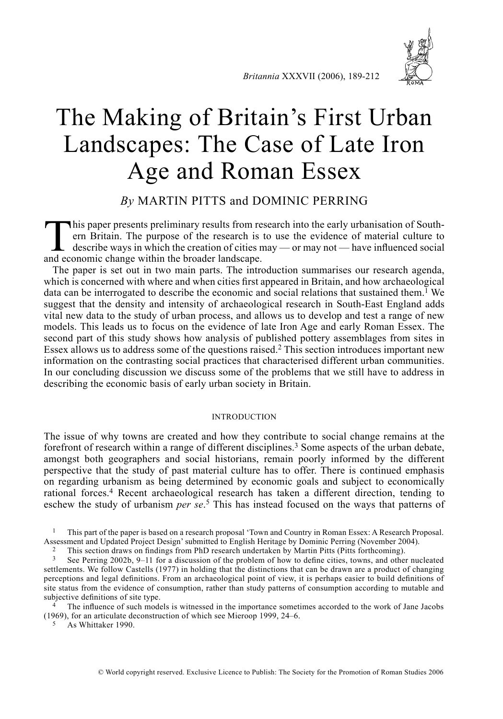

Britannia XXXVII (2006), 189-212

# The Making of Britain's First Urban Landscapes: The Case of Late Iron Age and Roman Essex

By MARTIN PITTS and DOMINIC PERRING

This paper presents preliminary results from research into the early urbanisation of Southern Britain. The purpose of the research is to use the evidence of material culture to describe ways in which the creation of cities may — or may not — have influenced social and economic change within the broader landscape.

The paper is set out in two main parts. The introduction summarises our research agenda, which is concerned with where and when cities first appeared in Britain, and how archaeological data can be interrogated to describe the economic and social relations that sustained them.<sup>1</sup> We suggest that the density and intensity of archaeological research in South-East England adds vital new data to the study of urban process, and allows us to develop and test a range of new models. This leads us to focus on the evidence of late Iron Age and early Roman Essex. The second part of this study shows how analysis of published pottery assemblages from sites in Essex allows us to address some of the questions raised.<sup>2</sup> This section introduces important new information on the contrasting social practices that characterised different urban communities. In our concluding discussion we discuss some of the problems that we still have to address in describing the economic basis of early urban society in Britain.

#### **INTRODUCTION**

The issue of why towns are created and how they contribute to social change remains at the forefront of research within a range of different disciplines.<sup>3</sup> Some aspects of the urban debate. amongst both geographers and social historians, remain poorly informed by the different perspective that the study of past material culture has to offer. There is continued emphasis on regarding urbanism as being determined by economic goals and subject to economically rational forces.<sup>4</sup> Recent archaeological research has taken a different direction, tending to eschew the study of urbanism per  $se<sup>5</sup>$ . This has instead focused on the ways that patterns of

This part of the paper is based on a research proposal 'Town and Country in Roman Essex: A Research Proposal. Assessment and Updated Project Design' submitted to English Heritage by Dominic Perring (November 2004).

This section draws on findings from PhD research undertaken by Martin Pitts (Pitts forthcoming).

 $\overline{\mathbf{3}}$ See Perring 2002b, 9-11 for a discussion of the problem of how to define cities, towns, and other nucleated settlements. We follow Castells (1977) in holding that the distinctions that can be drawn are a product of changing perceptions and legal definitions. From an archaeological point of view, it is perhaps easier to build definitions of site status from the evidence of consumption, rather than study patterns of consumption according to mutable and subjective definitions of site type.

The influence of such models is witnessed in the importance sometimes accorded to the work of Jane Jacobs (1969), for an articulate deconstruction of which see Mieroop 1999, 24–6.

As Whittaker 1990.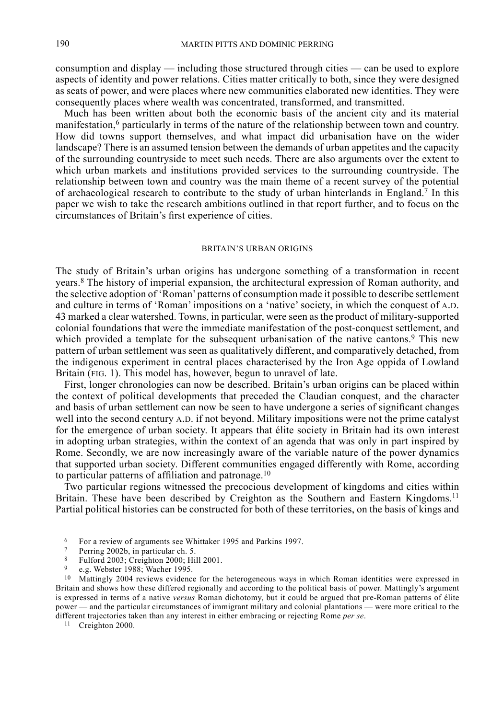consumption and display — including those structured through cities — can be used to explore aspects of identity and power relations. Cities matter critically to both, since they were designed as seats of power, and were places where new communities elaborated new identities. They were consequently places where wealth was concentrated, transformed, and transmitted.

Much has been written about both the economic basis of the ancient city and its material manifestation,<sup>6</sup> particularly in terms of the nature of the relationship between town and country. How did towns support themselves, and what impact did urbanisation have on the wider landscape? There is an assumed tension between the demands of urban appetites and the capacity of the surrounding countryside to meet such needs. There are also arguments over the extent to which urban markets and institutions provided services to the surrounding countryside. The relationship between town and country was the main theme of a recent survey of the potential of archaeological research to contribute to the study of urban hinterlands in England.<sup>7</sup> In this paper we wish to take the research ambitions outlined in that report further, and to focus on the circumstances of Britain's first experience of cities.

#### BRITAIN'S URBAN ORIGINS

The study of Britain's urban origins has undergone something of a transformation in recent years.<sup>8</sup> The history of imperial expansion, the architectural expression of Roman authority, and the selective adoption of 'Roman' patterns of consumption made it possible to describe settlement and culture in terms of 'Roman' impositions on a 'native' society, in which the conquest of A.D. 43 marked a clear watershed. Towns, in particular, were seen as the product of military-supported colonial foundations that were the immediate manifestation of the post-conquest settlement, and which provided a template for the subsequent urbanisation of the native cantons.<sup>9</sup> This new pattern of urban settlement was seen as qualitatively different, and comparatively detached, from the indigenous experiment in central places characterised by the Iron Age oppida of Lowland Britain (FIG. 1). This model has, however, begun to unravel of late.

First, longer chronologies can now be described. Britain's urban origins can be placed within the context of political developments that preceded the Claudian conquest, and the character and basis of urban settlement can now be seen to have undergone a series of significant changes well into the second century A.D. if not beyond. Military impositions were not the prime catalyst for the emergence of urban society. It appears that élite society in Britain had its own interest in adopting urban strategies, within the context of an agenda that was only in part inspired by Rome. Secondly, we are now increasingly aware of the variable nature of the power dynamics that supported urban society. Different communities engaged differently with Rome, according to particular patterns of affiliation and patronage.<sup>10</sup>

Two particular regions witnessed the precocious development of kingdoms and cities within Britain. These have been described by Creighton as the Southern and Eastern Kingdoms.<sup>11</sup> Partial political histories can be constructed for both of these territories, on the basis of kings and

- 6 For a review of arguments see Whittaker 1995 and Parkins 1997.
- $\overline{7}$ Perring 2002b, in particular ch. 5.
- 8 Fulford 2003; Creighton 2000; Hill 2001.
- e.g. Webster 1988; Wacher 1995.

<sup>10</sup> Mattingly 2004 reviews evidence for the heterogeneous ways in which Roman identities were expressed in Britain and shows how these differed regionally and according to the political basis of power. Mattingly's argument is expressed in terms of a native versus Roman dichotomy, but it could be argued that pre-Roman patterns of élite nower — and the particular circumstances of immigrant military and colonial plantations — were more critical to the different trajectories taken than any interest in either embracing or rejecting Rome per se.

 $11$  Creighton 2000.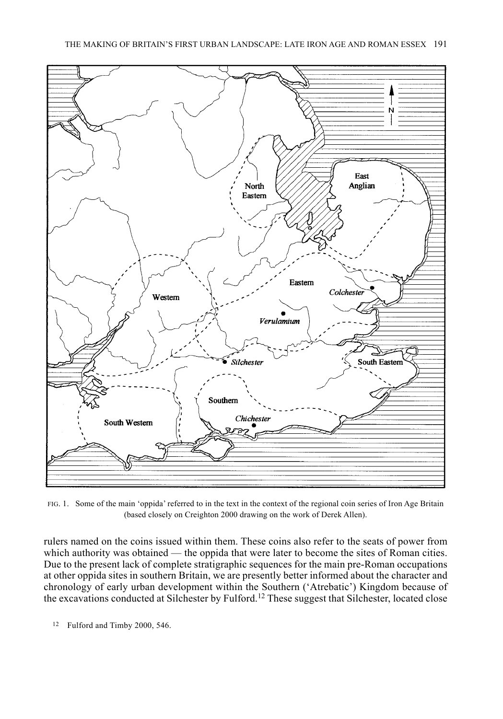

FIG. 1. Some of the main 'oppida' referred to in the text in the context of the regional coin series of Iron Age Britain (based closely on Creighton 2000 drawing on the work of Derek Allen).

rulers named on the coins issued within them. These coins also refer to the seats of power from which authority was obtained — the oppida that were later to become the sites of Roman cities. Due to the present lack of complete stratigraphic sequences for the main pre-Roman occupations at other oppida sites in southern Britain, we are presently better informed about the character and chronology of early urban development within the Southern ('Atrebatic') Kingdom because of the excavations conducted at Silchester by Fulford.<sup>12</sup> These suggest that Silchester, located close

<sup>12</sup> Fulford and Timby 2000, 546.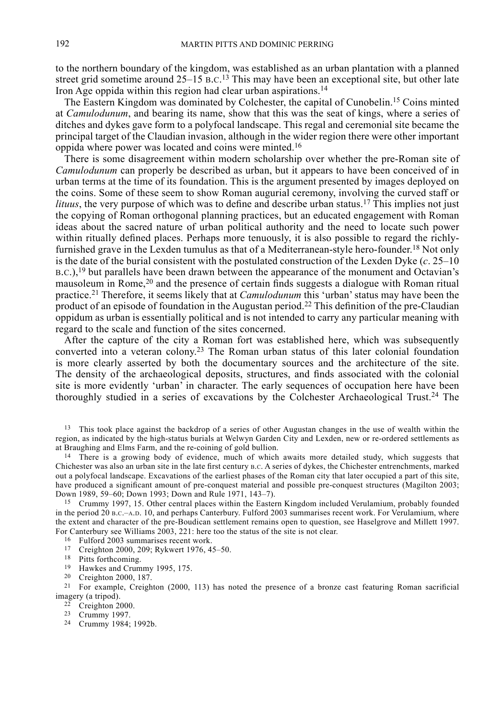to the northern boundary of the kingdom, was established as an urban plantation with a planned street grid sometime around  $25-15$  B.C.<sup>13</sup> This may have been an exceptional site, but other late Iron Age oppida within this region had clear urban aspirations.<sup>14</sup>

The Eastern Kingdom was dominated by Colchester, the capital of Cunobelin.<sup>15</sup> Coins minted at *Camulodunum*, and bearing its name, show that this was the seat of kings, where a series of ditches and dykes gave form to a polyfocal landscape. This regal and ceremonial site became the principal target of the Claudian invasion, although in the wider region there were other important oppida where power was located and coins were minted.<sup>16</sup>

There is some disagreement within modern scholarship over whether the pre-Roman site of Camulodunum can properly be described as urban, but it appears to have been conceived of in urban terms at the time of its foundation. This is the argument presented by images deployed on the coins. Some of these seem to show Roman augurial ceremony, involving the curved staff or *lituus*, the very purpose of which was to define and describe urban status.<sup>17</sup> This implies not just the copying of Roman orthogonal planning practices, but an educated engagement with Roman ideas about the sacred nature of urban political authority and the need to locate such power within ritually defined places. Perhaps more tenuously, it is also possible to regard the richlyfurnished grave in the Lexden tumulus as that of a Mediterranean-style hero-founder.<sup>18</sup> Not only is the date of the burial consistent with the postulated construction of the Lexden Dyke  $(c. 25-10)$  $B.C.$ ),<sup>19</sup> but parallels have been drawn between the appearance of the monument and Octavian's mausoleum in Rome,<sup>20</sup> and the presence of certain finds suggests a dialogue with Roman ritual practice.<sup>21</sup> Therefore, it seems likely that at *Camulodunum* this 'urban' status may have been the product of an episode of foundation in the Augustan period.<sup>22</sup> This definition of the pre-Claudian oppidum as urban is essentially political and is not intended to carry any particular meaning with regard to the scale and function of the sites concerned.

After the capture of the city a Roman fort was established here, which was subsequently converted into a veteran colony.<sup>23</sup> The Roman urban status of this later colonial foundation is more clearly asserted by both the documentary sources and the architecture of the site. The density of the archaeological deposits, structures, and finds associated with the colonial site is more evidently 'urban' in character. The early sequences of occupation here have been thoroughly studied in a series of excavations by the Colchester Archaeological Trust.<sup>24</sup> The

13 This took place against the backdrop of a series of other Augustan changes in the use of wealth within the region, as indicated by the high-status burials at Welwyn Garden City and Lexden, new or re-ordered settlements as at Braughing and Elms Farm, and the re-coining of gold bullion.

<sup>14</sup> There is a growing body of evidence, much of which awaits more detailed study, which suggests that Chichester was also an urban site in the late first century B.C. A series of dykes, the Chichester entrenchments, marked out a polyfocal landscape. Excavations of the earliest phases of the Roman city that later occupied a part of this site, have produced a significant amount of pre-conquest material and possible pre-conquest structures (Magilton 2003; Down 1989, 59-60; Down 1993; Down and Rule 1971, 143-7).

<sup>15</sup> Crummy 1997, 15. Other central places within the Eastern Kingdom included Verulamium, probably founded in the period 20 B.C.–A.D. 10, and perhaps Canterbury. Fulford 2003 summarises recent work. For Verulamium, where the extent and character of the pre-Boudican settlement remains open to question, see Haselgrove and Millett 1997. For Canterbury see Williams 2003, 221: here too the status of the site is not clear.

- <sup>16</sup> Fulford 2003 summarises recent work.
- <sup>17</sup> Creighton 2000, 209; Rykwert 1976, 45-50.
- <sup>18</sup> Pitts forthcoming.
- <sup>19</sup> Hawkes and Crummy 1995, 175.
- <sup>20</sup> Creighton 2000, 187.

<sup>21</sup> For example, Creighton (2000, 113) has noted the presence of a bronze cast featuring Roman sacrificial imagery (a tripod).

- $\frac{22}{23}$  Creighton 2000.
- 
- <sup>24</sup> Crummy 1984; 1992b.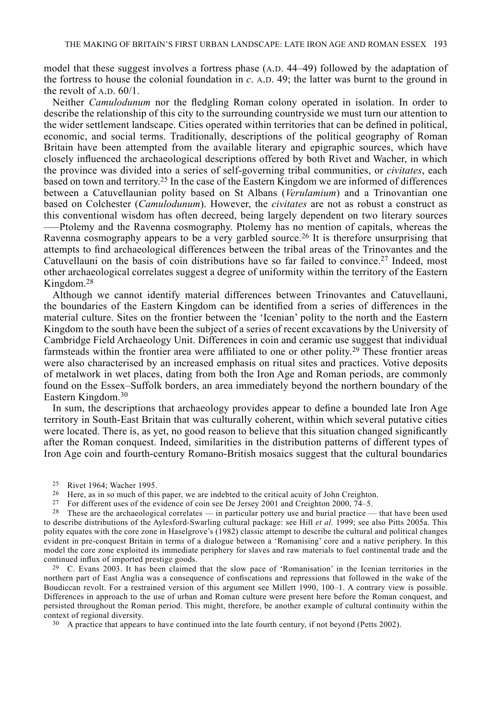model that these suggest involves a fortress phase (A.D. 44–49) followed by the adaptation of the fortress to house the colonial foundation in  $c$ . A.D. 49; the latter was burnt to the ground in the revolt of  $A.D. 60/1$ .

Neither *Camulodunum* nor the fledgling Roman colony operated in isolation. In order to describe the relationship of this city to the surrounding countryside we must turn our attention to the wider settlement landscape. Cities operated within territories that can be defined in political. economic, and social terms. Traditionally, descriptions of the political geography of Roman Britain have been attempted from the available literary and epigraphic sources, which have closely influenced the archaeological descriptions offered by both Rivet and Wacher, in which the province was divided into a series of self-governing tribal communities, or *civitates*, each based on town and territory.<sup>25</sup> In the case of the Eastern Kingdom we are informed of differences between a Catuvellaunian polity based on St Albans (Verulamium) and a Trinovantian one based on Colchester (Camulodunum). However, the civitates are not as robust a construct as this conventional wisdom has often decreed, being largely dependent on two literary sources -Ptolemy and the Ravenna cosmography. Ptolemy has no mention of capitals, whereas the Ravenna cosmography appears to be a very garbled source.<sup>26</sup> It is therefore unsurprising that attempts to find archaeological differences between the tribal areas of the Trinovantes and the Catuvellauni on the basis of coin distributions have so far failed to convince.<sup>27</sup> Indeed, most other archaeological correlates suggest a degree of uniformity within the territory of the Eastern Kingdom.<sup>28</sup>

Although we cannot identify material differences between Trinovantes and Catuvellauni, the boundaries of the Eastern Kingdom can be identified from a series of differences in the material culture. Sites on the frontier between the 'Icenian' polity to the north and the Eastern Kingdom to the south have been the subject of a series of recent excavations by the University of Cambridge Field Archaeology Unit. Differences in coin and ceramic use suggest that individual farmsteads within the frontier area were affiliated to one or other polity.<sup>29</sup> These frontier areas were also characterised by an increased emphasis on ritual sites and practices. Votive deposits of metalwork in wet places, dating from both the Iron Age and Roman periods, are commonly found on the Essex–Suffolk borders, an area immediately beyond the northern boundary of the Eastern Kingdom.<sup>30</sup>

In sum, the descriptions that archaeology provides appear to define a bounded late Iron Age territory in South-East Britain that was culturally coherent, within which several putative cities were located. There is, as yet, no good reason to believe that this situation changed significantly after the Roman conquest. Indeed, similarities in the distribution patterns of different types of Iron Age coin and fourth-century Romano-British mosaics suggest that the cultural boundaries

- 25 Rivet 1964; Wacher 1995.
- $26\,$ Here, as in so much of this paper, we are indebted to the critical acuity of John Creighton.
- 27 For different uses of the evidence of coin see De Jersey 2001 and Creighton 2000, 74–5.

<sup>29</sup> C. Evans 2003. It has been claimed that the slow pace of 'Romanisation' in the Icenian territories in the northern part of East Anglia was a consequence of confiscations and repressions that followed in the wake of the Boudiccan revolt. For a restrained version of this argument see Millett 1990, 100–1. A contrary view is possible. Differences in approach to the use of urban and Roman culture were present here before the Roman conquest, and persisted throughout the Roman period. This might, therefore, be another example of cultural continuity within the context of regional diversity.

<sup>30</sup> A practice that appears to have continued into the late fourth century, if not beyond (Petts 2002).

<sup>28</sup> These are the archaeological correlates — in particular pottery use and burial practice — that have been used to describe distributions of the Aylesford-Swarling cultural package: see Hill *et al.* 1999; see also Pitts 2005a. This polity equates with the core zone in Haselgrove's (1982) classic attempt to describe the cultural and political changes evident in pre-conquest Britain in terms of a dialogue between a 'Romanising' core and a native periphery. In this model the core zone exploited its immediate periphery for slaves and raw materials to fuel continental trade and the continued influx of imported prestige goods.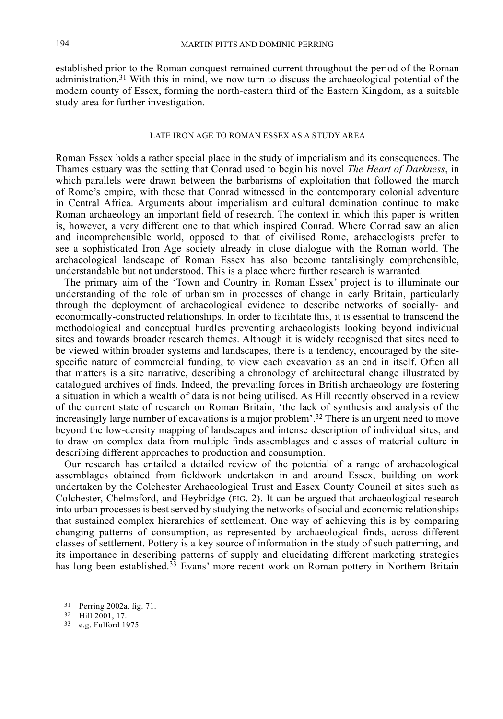established prior to the Roman conquest remained current throughout the period of the Roman administration.<sup>31</sup> With this in mind, we now turn to discuss the archaeological potential of the modern county of Essex, forming the north-eastern third of the Eastern Kingdom, as a suitable study area for further investigation.

#### LATE IRON AGE TO ROMAN ESSEX AS A STUDY AREA

Roman Essex holds a rather special place in the study of imperialism and its consequences. The Thames estuary was the setting that Conrad used to begin his novel The Heart of Darkness, in which parallels were drawn between the barbarisms of exploitation that followed the march of Rome's empire, with those that Conrad witnessed in the contemporary colonial adventure in Central Africa. Arguments about imperialism and cultural domination continue to make Roman archaeology an important field of research. The context in which this paper is written is, however, a very different one to that which inspired Conrad. Where Conrad saw an alien and incomprehensible world, opposed to that of civilised Rome, archaeologists prefer to see a sophisticated Iron Age society already in close dialogue with the Roman world. The archaeological landscape of Roman Essex has also become tantalisingly comprehensible, understandable but not understood. This is a place where further research is warranted.

The primary aim of the 'Town and Country in Roman Essex' project is to illuminate our understanding of the role of urbanism in processes of change in early Britain, particularly through the deployment of archaeological evidence to describe networks of socially- and economically-constructed relationships. In order to facilitate this, it is essential to transcend the methodological and conceptual hurdles preventing archaeologists looking beyond individual sites and towards broader research themes. Although it is widely recognised that sites need to be viewed within broader systems and landscapes, there is a tendency, encouraged by the sitespecific nature of commercial funding, to view each excavation as an end in itself. Often all that matters is a site narrative, describing a chronology of architectural change illustrated by catalogued archives of finds. Indeed, the prevailing forces in British archaeology are fostering a situation in which a wealth of data is not being utilised. As Hill recently observed in a review of the current state of research on Roman Britain, 'the lack of synthesis and analysis of the increasingly large number of excavations is a major problem'.<sup>32</sup> There is an urgent need to move beyond the low-density mapping of landscapes and intense description of individual sites, and to draw on complex data from multiple finds assemblages and classes of material culture in describing different approaches to production and consumption.

Our research has entailed a detailed review of the potential of a range of archaeological assemblages obtained from fieldwork undertaken in and around Essex, building on work undertaken by the Colchester Archaeological Trust and Essex County Council at sites such as Colchester, Chelmsford, and Heybridge (FIG. 2). It can be argued that archaeological research into urban processes is best served by studying the networks of social and economic relationships that sustained complex hierarchies of settlement. One way of achieving this is by comparing changing patterns of consumption, as represented by archaeological finds, across different classes of settlement. Pottery is a key source of information in the study of such patterning, and its importance in describing patterns of supply and elucidating different marketing strategies has long been established.<sup>33</sup> Evans' more recent work on Roman pottery in Northern Britain

<sup>31</sup> Perring 2002a, fig. 71.

<sup>32</sup> Hill 2001, 17.

<sup>&</sup>lt;sup>33</sup> e.g. Fulford 1975.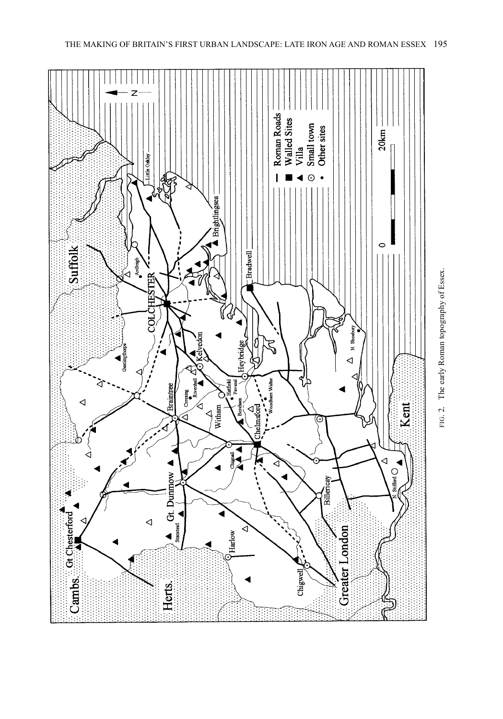

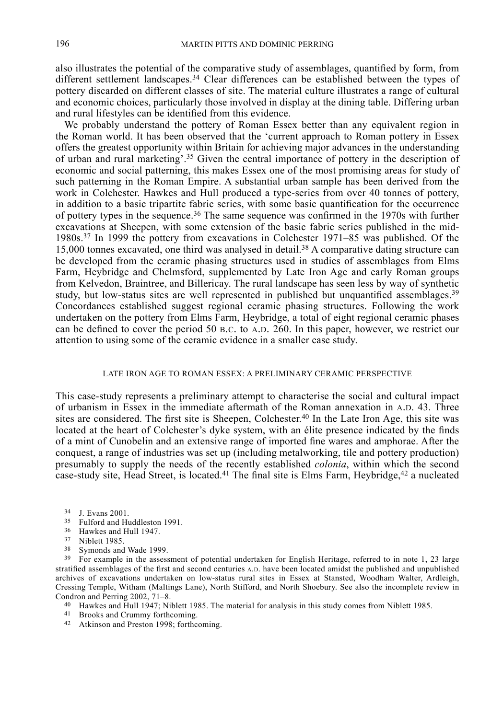also illustrates the potential of the comparative study of assemblages, quantified by form, from different settlement landscapes.<sup>34</sup> Clear differences can be established between the types of pottery discarded on different classes of site. The material culture illustrates a range of cultural and economic choices, particularly those involved in display at the dining table. Differing urban and rural lifestyles can be identified from this evidence.

We probably understand the pottery of Roman Essex better than any equivalent region in the Roman world. It has been observed that the 'current approach to Roman pottery in Essex offers the greatest opportunity within Britain for achieving major advances in the understanding of urban and rural marketing'.<sup>35</sup> Given the central importance of pottery in the description of economic and social patterning, this makes Essex one of the most promising areas for study of such patterning in the Roman Empire. A substantial urban sample has been derived from the work in Colchester. Hawkes and Hull produced a type-series from over 40 tonnes of pottery. in addition to a basic tripartite fabric series, with some basic quantification for the occurrence of pottery types in the sequence.<sup>36</sup> The same sequence was confirmed in the 1970s with further excavations at Sheepen, with some extension of the basic fabric series published in the mid- $1980s$ <sup>37</sup> In 1999 the pottery from excavations in Colchester 1971–85 was published. Of the 15,000 tonnes excavated, one third was analysed in detail.<sup>38</sup> A comparative dating structure can be developed from the ceramic phasing structures used in studies of assemblages from Elms Farm, Heybridge and Chelmsford, supplemented by Late Iron Age and early Roman groups from Kelvedon, Braintree, and Billericay. The rural landscape has seen less by way of synthetic study, but low-status sites are well represented in published but unquantified assemblages.<sup>39</sup> Concordances established suggest regional ceramic phasing structures. Following the work undertaken on the pottery from Elms Farm, Heybridge, a total of eight regional ceramic phases can be defined to cover the period 50 B.C. to A.D. 260. In this paper, however, we restrict our attention to using some of the ceramic evidence in a smaller case study.

#### LATE IRON AGE TO ROMAN ESSEX: A PRELIMINARY CERAMIC PERSPECTIVE

This case-study represents a preliminary attempt to characterise the social and cultural impact of urbanism in Essex in the immediate aftermath of the Roman annexation in A.D. 43. Three sites are considered. The first site is Sheepen, Colchester.<sup>40</sup> In the Late Iron Age, this site was located at the heart of Colchester's dyke system, with an élite presence indicated by the finds of a mint of Cunobelin and an extensive range of imported fine wares and amphorae. After the conquest, a range of industries was set up (including metalworking, tile and pottery production) presumably to supply the needs of the recently established *colonia*, within which the second case-study site, Head Street, is located.<sup>41</sup> The final site is Elms Farm, Heybridge,<sup>42</sup> a nucleated

- <sup>35</sup> Fulford and Huddleston 1991.
- <sup>36</sup> Hawkes and Hull 1947.
- 37 Niblett 1985.
- <sup>38</sup> Symonds and Wade 1999.

<sup>39</sup> For example in the assessment of potential undertaken for English Heritage, referred to in note 1, 23 large stratified assemblages of the first and second centuries A.D. have been located amidst the published and unpublished archives of excavations undertaken on low-status rural sites in Essex at Stansted, Woodham Walter, Ardleigh, Cressing Temple, Witham (Maltings Lane), North Stifford, and North Shoebury. See also the incomplete review in Condron and Perring 2002, 71-8.

- <sup>40</sup> Hawkes and Hull 1947; Niblett 1985. The material for analysis in this study comes from Niblett 1985.
- <sup>41</sup> Brooks and Crummy forthcoming.
- 42 Atkinson and Preston 1998; forthcoming.

<sup>34</sup> J. Evans 2001.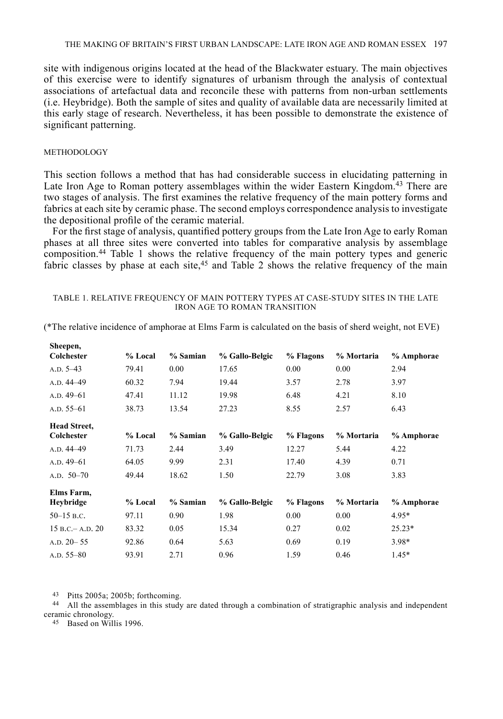site with indigenous origins located at the head of the Blackwater estuary. The main objectives of this exercise were to identify signatures of urbanism through the analysis of contextual associations of artefactual data and reconcile these with patterns from non-urban settlements (i.e. Heybridge). Both the sample of sites and quality of available data are necessarily limited at this early stage of research. Nevertheless, it has been possible to demonstrate the existence of significant patterning.

#### METHODOLOGY

Sheepen.

This section follows a method that has had considerable success in elucidating patterning in Late Iron Age to Roman pottery assemblages within the wider Eastern Kingdom.<sup>43</sup> There are two stages of analysis. The first examines the relative frequency of the main pottery forms and fabrics at each site by ceramic phase. The second employs correspondence analysis to investigate the depositional profile of the ceramic material.

For the first stage of analysis, quantified pottery groups from the Late Iron Age to early Roman phases at all three sites were converted into tables for comparative analysis by assemblage composition.<sup>44</sup> Table 1 shows the relative frequency of the main pottery types and generic fabric classes by phase at each site,<sup>45</sup> and Table 2 shows the relative frequency of the main

#### TABLE 1. RELATIVE FREQUENCY OF MAIN POTTERY TYPES AT CASE-STUDY SITES IN THE LATE **IRON AGE TO ROMAN TRANSITION**

| Colchester          | % Local | % Samian | % Gallo-Belgic | % Flagons | % Mortaria | % Amphorae |
|---------------------|---------|----------|----------------|-----------|------------|------------|
| $A.D. 5-43$         | 79.41   | 0.00     | 17.65          | 0.00      | 0.00       | 2.94       |
| A.D. 44-49          | 60.32   | 7.94     | 19.44          | 3.57      | 2.78       | 3.97       |
| $A.D. 49-61$        | 47.41   | 11.12    | 19.98          | 6.48      | 4.21       | 8.10       |
| A.D. $55-61$        | 38.73   | 13.54    | 27.23          | 8.55      | 2.57       | 6.43       |
| <b>Head Street,</b> |         |          |                |           |            |            |
| Colchester          | % Local | % Samian | % Gallo-Belgic | % Flagons | % Mortaria | % Amphorae |
| A.D. 44-49          | 71.73   | 2.44     | 3.49           | 12.27     | 5.44       | 4.22       |
| $A.D. 49-61$        | 64.05   | 9.99     | 2.31           | 17.40     | 4.39       | 0.71       |
| $A.D. 50-70$        | 49.44   | 18.62    | 1.50           | 22.79     | 3.08       | 3.83       |
| Elms Farm,          |         |          |                |           |            |            |
| <b>Heybridge</b>    | % Local | % Samian | % Gallo-Belgic | % Flagons | % Mortaria | % Amphorae |
| $50-15$ B.C.        | 97.11   | 0.90     | 1.98           | 0.00      | 0.00       | $4.95*$    |
| $15 B.C - A.D. 20$  | 83.32   | 0.05     | 15.34          | 0.27      | 0.02       | $25.23*$   |
| $A.D. 20-55$        | 92.86   | 0.64     | 5.63           | 0.69      | 0.19       | $3.98*$    |
| $A.D. 55-80$        | 93.91   | 2.71     | 0.96           | 1.59      | 0.46       | $1.45*$    |

(\*The relative incidence of amphorae at Elms Farm is calculated on the basis of sherd weight, not EVE)

43 Pitts 2005a; 2005b; forthcoming.

<sup>44</sup> All the assemblages in this study are dated through a combination of stratigraphic analysis and independent ceramic chronology.

<sup>45</sup> Based on Willis 1996.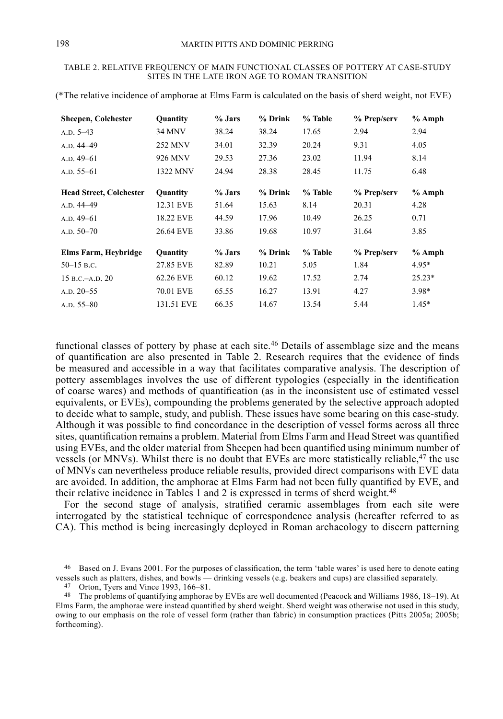#### TABLE 2. RELATIVE FREQUENCY OF MAIN FUNCTIONAL CLASSES OF POTTERY AT CASE-STUDY SITES IN THE LATE IRON AGE TO ROMAN TRANSITION

| <b>Sheepen, Colchester</b>     | Quantity        | % Jars   | % Drink | % Table | % Prep/serv | $%$ Amph |
|--------------------------------|-----------------|----------|---------|---------|-------------|----------|
| $A.D. 5-43$                    | <b>34 MNV</b>   | 38.24    | 38.24   | 17.65   | 2.94        | 2.94     |
| A.D. 44-49                     | 252 MNV         | 34.01    | 32.39   | 20.24   | 9.31        | 4.05     |
| $A.D. 49-61$                   | 926 MNV         | 29.53    | 27.36   | 23.02   | 11.94       | 8.14     |
| A.D. $55-61$                   | 1322 MNV        | 24.94    | 28.38   | 28.45   | 11.75       | 6.48     |
|                                |                 |          |         |         |             |          |
| <b>Head Street, Colchester</b> | <b>Ouantity</b> | % Jars   | % Drink | % Table | % Prep/serv | $%$ Amph |
| A.D. 44-49                     | 12.31 EVE       | 51.64    | 15.63   | 8.14    | 20.31       | 4.28     |
| $A.D. 49-61$                   | 18.22 EVE       | 44.59    | 17.96   | 10.49   | 26.25       | 0.71     |
| $A.D. 50-70$                   | 26.64 EVE       | 33.86    | 19.68   | 10.97   | 31.64       | 3.85     |
| <b>Elms Farm, Heybridge</b>    | <b>Quantity</b> | $%$ Jars | % Drink | % Table | % Prep/serv | $%$ Amph |
| $50-15$ B.C.                   | 27.85 EVE       | 82.89    | 10.21   | 5.05    | 1.84        | 4.95*    |
| $15 B.C - A.D. 20$             | 62.26 EVE       | 60.12    | 19.62   | 17.52   | 2.74        | $25.23*$ |
| $A.D. 20-55$                   | 70.01 EVE       | 65.55    | 16.27   | 13.91   | 4.27        | $3.98*$  |
| A.D. $55 - 80$                 | 131.51 EVE      | 66.35    | 14.67   | 13.54   | 5.44        | $1.45*$  |

(\*The relative incidence of amphorae at Elms Farm is calculated on the basis of sherd weight, not EVE)

functional classes of pottery by phase at each site.<sup>46</sup> Details of assemblage size and the means of quantification are also presented in Table 2. Research requires that the evidence of finds be measured and accessible in a way that facilitates comparative analysis. The description of pottery assemblages involves the use of different typologies (especially in the identification of coarse wares) and methods of quantification (as in the inconsistent use of estimated vessel equivalents, or EVEs), compounding the problems generated by the selective approach adopted to decide what to sample, study, and publish. These issues have some bearing on this case-study. Although it was possible to find concordance in the description of vessel forms across all three sites, quantification remains a problem. Material from Elms Farm and Head Street was quantified using EVEs, and the older material from Sheepen had been quantified using minimum number of vessels (or MNVs). Whilst there is no doubt that EVEs are more statistically reliable.<sup>47</sup> the use of MNVs can nevertheless produce reliable results, provided direct comparisons with EVE data are avoided. In addition, the amphorae at Elms Farm had not been fully quantified by EVE, and their relative incidence in Tables 1 and 2 is expressed in terms of sherd weight.<sup>48</sup>

For the second stage of analysis, stratified ceramic assemblages from each site were interrogated by the statistical technique of correspondence analysis (hereafter referred to as CA). This method is being increasingly deployed in Roman archaeology to discern patterning

<sup>&</sup>lt;sup>46</sup> Based on J. Evans 2001. For the purposes of classification, the term 'table wares' is used here to denote eating vessels such as platters, dishes, and bowls — drinking vessels (e.g. beakers and cups) are classified separately.

<sup>47</sup> Orton, Tyers and Vince 1993, 166–81.

<sup>&</sup>lt;sup>48</sup> The problems of quantifying amphorae by EVEs are well documented (Peacock and Williams 1986, 18–19). At Elms Farm, the amphorae were instead quantified by sherd weight. Sherd weight was otherwise not used in this study, owing to our emphasis on the role of vessel form (rather than fabric) in consumption practices (Pitts 2005a; 2005b; forthcoming).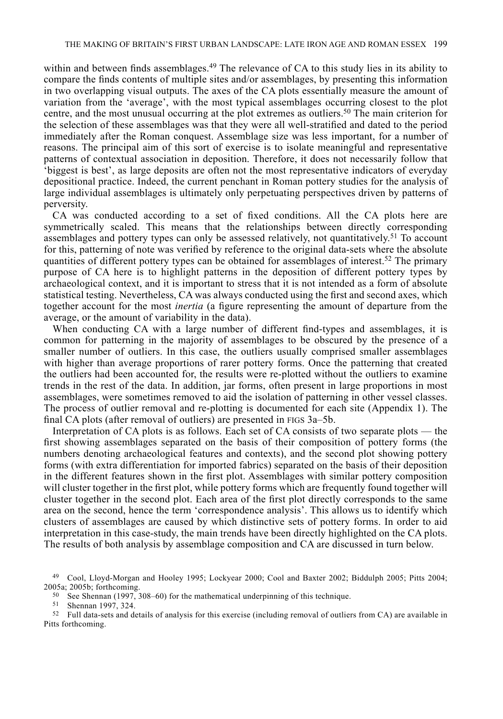within and between finds assemblages.<sup>49</sup> The relevance of CA to this study lies in its ability to compare the finds contents of multiple sites and/or assemblages, by presenting this information in two overlapping visual outputs. The axes of the CA plots essentially measure the amount of variation from the 'average', with the most typical assemblages occurring closest to the plot centre, and the most unusual occurring at the plot extremes as outliers.<sup>50</sup> The main criterion for the selection of these assemblages was that they were all well-stratified and dated to the period immediately after the Roman conquest. Assemblage size was less important, for a number of reasons. The principal aim of this sort of exercise is to isolate meaningful and representative patterns of contextual association in deposition. Therefore, it does not necessarily follow that biggest is best', as large deposits are often not the most representative indicators of everyday depositional practice. Indeed, the current penchant in Roman pottery studies for the analysis of large individual assemblages is ultimately only perpetuating perspectives driven by patterns of perversity.

CA was conducted according to a set of fixed conditions. All the CA plots here are symmetrically scaled. This means that the relationships between directly corresponding assemblages and pottery types can only be assessed relatively, not quantitatively.<sup>51</sup> To account for this, patterning of note was verified by reference to the original data-sets where the absolute quantities of different pottery types can be obtained for assemblages of interest.<sup>52</sup> The primary purpose of CA here is to highlight patterns in the deposition of different pottery types by archaeological context, and it is important to stress that it is not intended as a form of absolute statistical testing. Nevertheless, CA was always conducted using the first and second axes, which together account for the most *inertia* (a figure representing the amount of departure from the average, or the amount of variability in the data).

When conducting CA with a large number of different find-types and assemblages, it is common for patterning in the majority of assemblages to be obscured by the presence of a smaller number of outliers. In this case, the outliers usually comprised smaller assemblages with higher than average proportions of rarer pottery forms. Once the patterning that created the outliers had been accounted for, the results were re-plotted without the outliers to examine trends in the rest of the data. In addition, jar forms, often present in large proportions in most assemblages, were sometimes removed to aid the isolation of patterning in other vessel classes. The process of outlier removal and re-plotting is documented for each site (Appendix 1). The final CA plots (after removal of outliers) are presented in FIGS 3a–5b.

Interpretation of CA plots is as follows. Each set of CA consists of two separate plots — the first showing assemblages separated on the basis of their composition of pottery forms (the numbers denoting archaeological features and contexts), and the second plot showing pottery forms (with extra differentiation for imported fabrics) separated on the basis of their deposition in the different features shown in the first plot. Assemblages with similar pottery composition will cluster together in the first plot, while pottery forms which are frequently found together will cluster together in the second plot. Each area of the first plot directly corresponds to the same area on the second, hence the term 'correspondence analysis'. This allows us to identify which clusters of assemblages are caused by which distinctive sets of pottery forms. In order to aid interpretation in this case-study, the main trends have been directly highlighted on the CA plots. The results of both analysis by assemblage composition and CA are discussed in turn below.

See Shennan  $(1997, 308-60)$  for the mathematical underpinning of this technique.

 $51$ Shennan 1997, 324.

<sup>&</sup>lt;sup>49</sup> Cool, Lloyd-Morgan and Hooley 1995; Lockyear 2000; Cool and Baxter 2002; Biddulph 2005; Pitts 2004; 2005a; 2005b; forthcoming.

<sup>&</sup>lt;sup>52</sup> Full data-sets and details of analysis for this exercise (including removal of outliers from CA) are available in Pitts forthcoming.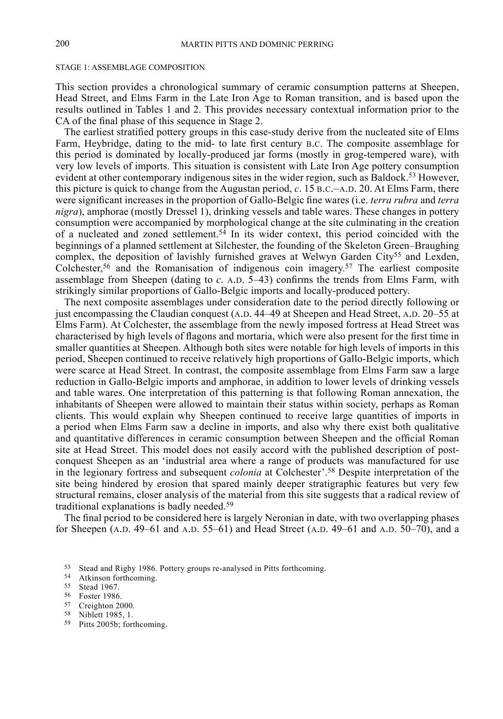#### STAGE 1: ASSEMBLAGE COMPOSITION

This section provides a chronological summary of ceramic consumption patterns at Sheepen, Head Street, and Elms Farm in the Late Iron Age to Roman transition, and is based upon the results outlined in Tables 1 and 2. This provides necessary contextual information prior to the CA of the final phase of this sequence in Stage 2.

The earliest stratified pottery groups in this case-study derive from the nucleated site of Elms Farm, Heybridge, dating to the mid- to late first century B.C. The composite assemblage for this period is dominated by locally-produced jar forms (mostly in grog-tempered ware), with very low levels of imports. This situation is consistent with Late Iron Age pottery consumption evident at other contemporary indigenous sites in the wider region, such as Baldock.<sup>53</sup> However, this picture is quick to change from the Augustan period, c. 15 B.C. $-A$ , D. 20. At Elms Farm, there were significant increases in the proportion of Gallo-Belgic fine wares (i.e. *terra rubra* and *terra nigra*), amphorae (mostly Dressel 1), drinking vessels and table wares. These changes in pottery consumption were accompanied by morphological change at the site culminating in the creation of a nucleated and zoned settlement.<sup>54</sup> In its wider context, this period coincided with the beginnings of a planned settlement at Silchester, the founding of the Skeleton Green–Braughing complex, the deposition of lavishly furnished graves at Welwyn Garden City<sup>55</sup> and Lexden, Colchester,<sup>56</sup> and the Romanisation of indigenous coin imagery.<sup>57</sup> The earliest composite assemblage from Sheepen (dating to c. A.D.  $\bar{5}$ –43) confirms the trends from Elms Farm, with strikingly similar proportions of Gallo-Belgic imports and locally-produced pottery.

The next composite assemblages under consideration date to the period directly following or just encompassing the Claudian conquest (A.D. 44–49 at Sheepen and Head Street, A.D. 20–55 at Elms Farm). At Colchester, the assemblage from the newly imposed fortress at Head Street was characterised by high levels of flagons and mortaria, which were also present for the first time in smaller quantities at Sheepen. Although both sites were notable for high levels of imports in this period, Sheepen continued to receive relatively high proportions of Gallo-Belgic imports, which were scarce at Head Street. In contrast, the composite assemblage from Elms Farm saw a large reduction in Gallo-Belgic imports and amphorae, in addition to lower levels of drinking vessels and table wares. One interpretation of this patterning is that following Roman annexation, the inhabitants of Sheepen were allowed to maintain their status within society, perhaps as Roman clients. This would explain why Sheepen continued to receive large quantities of imports in a period when Elms Farm saw a decline in imports, and also why there exist both qualitative and quantitative differences in ceramic consumption between Sheepen and the official Roman site at Head Street. This model does not easily accord with the published description of postconquest Sheepen as an 'industrial area where a range of products was manufactured for use in the legionary fortress and subsequent *colonia* at Colchester'.<sup>58</sup> Despite interpretation of the site being hindered by erosion that spared mainly deeper stratigraphic features but very few structural remains, closer analysis of the material from this site suggests that a radical review of traditional explanations is badly needed.<sup>59</sup>

The final period to be considered here is largely Neronian in date, with two overlapping phases for Sheepen (A.D. 49–61 and A.D. 55–61) and Head Street (A.D. 49–61 and A.D. 50–70), and a

- 54 Atkinson forthcoming.
- 55 Stead 1967.
- <sup>56</sup> Foster 1986.
- <sup>57</sup> Creighton 2000.
- <sup>58</sup> Niblett 1985, 1.
- <sup>59</sup> Pitts 2005b; forthcoming.

<sup>53</sup> Stead and Rigby 1986. Pottery groups re-analysed in Pitts forthcoming.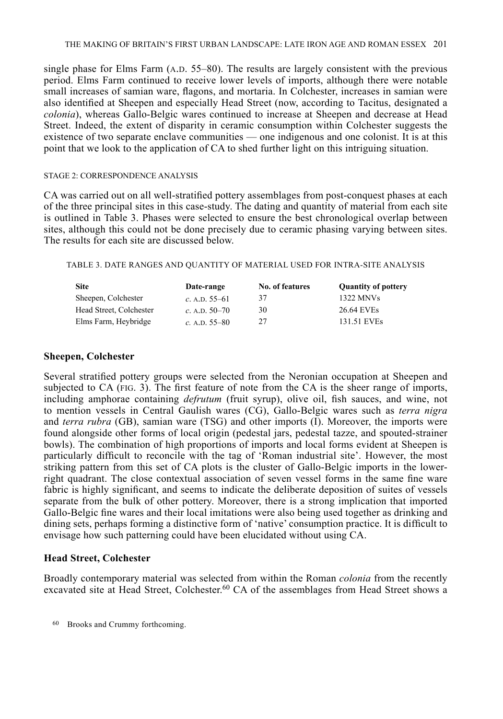single phase for Elms Farm  $(A.D. 55-80)$ . The results are largely consistent with the previous period. Elms Farm continued to receive lower levels of imports, although there were notable small increases of samian ware, flagons, and mortaria. In Colchester, increases in samian were also identified at Sheepen and especially Head Street (now, according to Tacitus, designated a colonia), whereas Gallo-Belgic wares continued to increase at Sheepen and decrease at Head Street. Indeed, the extent of disparity in ceramic consumption within Colchester suggests the existence of two separate enclave communities — one indigenous and one colonist. It is at this point that we look to the application of CA to shed further light on this intriguing situation.

#### **STAGE 2: CORRESPONDENCE ANALYSIS**

CA was carried out on all well-stratified pottery assemblages from post-conquest phases at each of the three principal sites in this case-study. The dating and quantity of material from each site is outlined in Table 3. Phases were selected to ensure the best chronological overlap between sites, although this could not be done precisely due to ceramic phasing varying between sites. The results for each site are discussed below.

#### TABLE 3. DATE RANGES AND QUANTITY OF MATERIAL USED FOR INTRA-SITE ANALYSIS

| <b>Site</b>             | Date-range      | No. of features | <b>Quantity of pottery</b> |
|-------------------------|-----------------|-----------------|----------------------------|
| Sheepen, Colchester     | c. A.D. $55-61$ | 37              | 1322 MNVs                  |
| Head Street, Colchester | c. A.D. $50-70$ | 30              | 26.64 EVEs                 |
| Elms Farm, Heybridge    | c. A.D. $55-80$ | 27              | 131.51 EVEs                |

#### **Sheepen, Colchester**

Several stratified pottery groups were selected from the Neronian occupation at Sheepen and subjected to CA (FIG. 3). The first feature of note from the CA is the sheer range of imports, including amphorae containing *defrutum* (fruit syrup), olive oil, fish sauces, and wine, not to mention vessels in Central Gaulish wares (CG), Gallo-Belgic wares such as *terra nigra* and *terra rubra* (GB), samian ware (TSG) and other imports (I). Moreover, the imports were found alongside other forms of local origin (pedestal jars, pedestal tazze, and spouted-strainer bowls). The combination of high proportions of imports and local forms evident at Sheepen is particularly difficult to reconcile with the tag of 'Roman industrial site'. However, the most striking pattern from this set of CA plots is the cluster of Gallo-Belgic imports in the lowerright quadrant. The close contextual association of seven vessel forms in the same fine ware fabric is highly significant, and seems to indicate the deliberate deposition of suites of vessels separate from the bulk of other pottery. Moreover, there is a strong implication that imported Gallo-Belgic fine wares and their local imitations were also being used together as drinking and dining sets, perhaps forming a distinctive form of 'native' consumption practice. It is difficult to envisage how such patterning could have been elucidated without using CA.

#### **Head Street, Colchester**

Broadly contemporary material was selected from within the Roman *colonia* from the recently excavated site at Head Street, Colchester.<sup>60</sup> CA of the assemblages from Head Street shows a

<sup>60</sup> Brooks and Crummy forthcoming.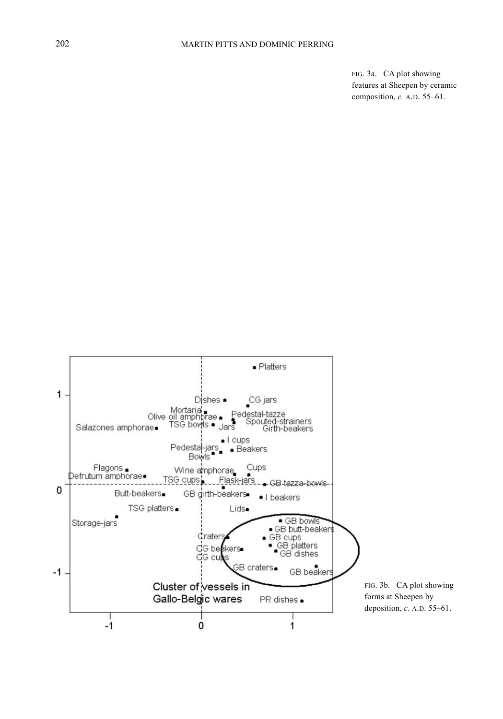FIG. 3a. CA plot showing features at Sheepen by ceramic composition, c. A.D. 55-61.

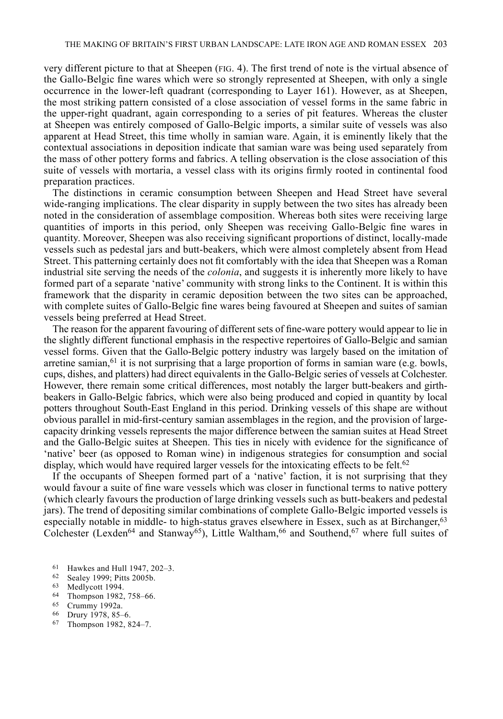very different picture to that at Sheepen (FIG, 4). The first trend of note is the virtual absence of the Gallo-Belgic fine wares which were so strongly represented at Sheepen, with only a single occurrence in the lower-left quadrant (corresponding to Layer 161). However, as at Sheepen, the most striking pattern consisted of a close association of vessel forms in the same fabric in the upper-right quadrant, again corresponding to a series of pit features. Whereas the cluster at Sheepen was entirely composed of Gallo-Belgic imports, a similar suite of vessels was also apparent at Head Street, this time wholly in samian ware. Again, it is eminently likely that the contextual associations in deposition indicate that samian ware was being used separately from the mass of other pottery forms and fabrics. A telling observation is the close association of this suite of vessels with mortaria, a vessel class with its origins firmly rooted in continental food preparation practices.

The distinctions in ceramic consumption between Sheepen and Head Street have several wide-ranging implications. The clear disparity in supply between the two sites has already been noted in the consideration of assemblage composition. Whereas both sites were receiving large quantities of imports in this period, only Sheepen was receiving Gallo-Belgic fine wares in quantity. Moreover, Sheepen was also receiving significant proportions of distinct, locally-made vessels such as pedestal jars and butt-beakers, which were almost completely absent from Head Street. This patterning certainly does not fit comfortably with the idea that Sheepen was a Roman industrial site serving the needs of the *colonia*, and suggests it is inherently more likely to have formed part of a separate 'native' community with strong links to the Continent. It is within this framework that the disparity in ceramic deposition between the two sites can be approached, with complete suites of Gallo-Belgic fine wares being favoured at Sheepen and suites of samian vessels being preferred at Head Street.

The reason for the apparent favouring of different sets of fine-ware pottery would appear to lie in the slightly different functional emphasis in the respective repertoires of Gallo-Belgic and samian vessel forms. Given that the Gallo-Belgic pottery industry was largely based on the imitation of arretine samian, <sup>61</sup> it is not surprising that a large proportion of forms in samian ware (e.g. bowls, cups, dishes, and platters) had direct equivalents in the Gallo-Belgic series of vessels at Colchester. However, there remain some critical differences, most notably the larger butt-beakers and girthbeakers in Gallo-Belgic fabrics, which were also being produced and copied in quantity by local potters throughout South-East England in this period. Drinking vessels of this shape are without obvious parallel in mid-first-century samian assemblages in the region, and the provision of largecapacity drinking vessels represents the major difference between the samian suites at Head Street and the Gallo-Belgic suites at Sheepen. This ties in nicely with evidence for the significance of 'native' beer (as opposed to Roman wine) in indigenous strategies for consumption and social display, which would have required larger vessels for the intoxicating effects to be felt.<sup>62</sup>

If the occupants of Sheepen formed part of a 'native' faction, it is not surprising that they would favour a suite of fine ware vessels which was closer in functional terms to native pottery (which clearly favours the production of large drinking vessels such as butt-beakers and pedestal jars). The trend of depositing similar combinations of complete Gallo-Belgic imported vessels is especially notable in middle- to high-status graves elsewhere in Essex, such as at Birchanger,<sup>63</sup> Colchester (Lexden<sup>64</sup> and Stanway<sup>65</sup>), Little Waltham, <sup>66</sup> and Southend, <sup>67</sup> where full suites of

- 61 Hawkes and Hull 1947, 202-3.
- 62 Sealey 1999; Pitts 2005b.
- 63 Medlycott 1994.
- 64 Thompson 1982, 758-66. 65
- Crummy 1992a. 66
- Drury 1978, 85-6.
- 67 Thompson 1982, 824-7.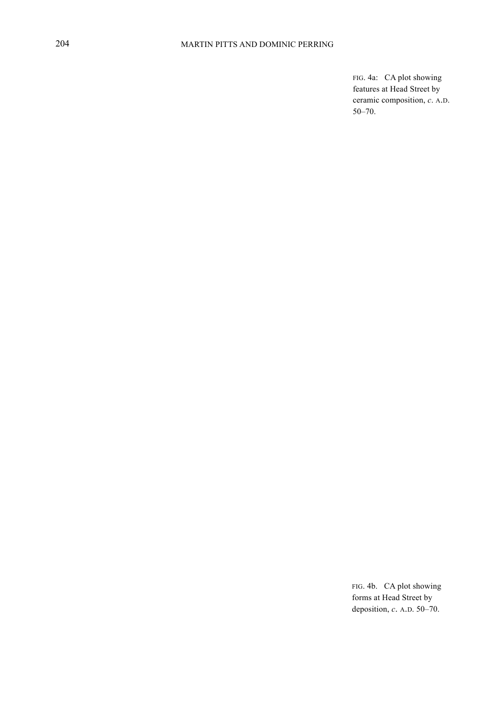FIG. 4a: CA plot showing features at Head Street by ceramic composition, c. A.D.  $50 - 70.$ 

FIG. 4b. CA plot showing forms at Head Street by deposition,  $c$ . A.D. 50-70.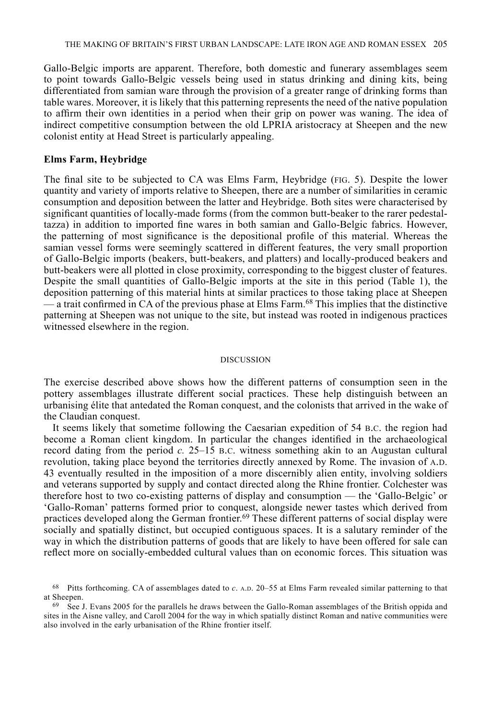Gallo-Belgic imports are apparent. Therefore, both domestic and funerary assemblages seem to point towards Gallo-Belgic vessels being used in status drinking and dining kits, being differentiated from samian ware through the provision of a greater range of drinking forms than table wares. Moreover, it is likely that this patterning represents the need of the native population to affirm their own identities in a period when their grip on power was waning. The idea of indirect competitive consumption between the old LPRIA aristocracy at Sheepen and the new colonist entity at Head Street is particularly appealing.

#### Elms Farm, Heybridge

The final site to be subjected to CA was Elms Farm, Heybridge (FIG. 5). Despite the lower quantity and variety of imports relative to Sheepen, there are a number of similarities in ceramic consumption and deposition between the latter and Heybridge. Both sites were characterised by significant quantities of locally-made forms (from the common butt-beaker to the rarer pedestaltazza) in addition to imported fine wares in both samian and Gallo-Belgic fabrics. However, the patterning of most significance is the depositional profile of this material. Whereas the samian vessel forms were seemingly scattered in different features, the very small proportion of Gallo-Belgic imports (beakers, butt-beakers, and platters) and locally-produced beakers and butt-beakers were all plotted in close proximity, corresponding to the biggest cluster of features. Despite the small quantities of Gallo-Belgic imports at the site in this period (Table 1), the deposition patterning of this material hints at similar practices to those taking place at Sheepen — a trait confirmed in CA of the previous phase at Elms Farm.<sup>68</sup> This implies that the distinctive patterning at Sheepen was not unique to the site, but instead was rooted in indigenous practices witnessed elsewhere in the region.

#### **DISCUSSION**

The exercise described above shows how the different patterns of consumption seen in the pottery assemblages illustrate different social practices. These help distinguish between an urbanising élite that antedated the Roman conquest, and the colonists that arrived in the wake of the Claudian conquest.

It seems likely that sometime following the Caesarian expedition of 54 B.C. the region had become a Roman client kingdom. In particular the changes identified in the archaeological record dating from the period  $c$ . 25–15 B.C. witness something akin to an Augustan cultural revolution, taking place beyond the territories directly annexed by Rome. The invasion of A.D. 43 eventually resulted in the imposition of a more discernibly alien entity, involving soldiers and veterans supported by supply and contact directed along the Rhine frontier. Colchester was therefore host to two co-existing patterns of display and consumption — the 'Gallo-Belgic' or 'Gallo-Roman' patterns formed prior to conquest, alongside newer tastes which derived from practices developed along the German frontier.<sup>69</sup> These different patterns of social display were socially and spatially distinct, but occupied contiguous spaces. It is a salutary reminder of the way in which the distribution patterns of goods that are likely to have been offered for sale can reflect more on socially-embedded cultural values than on economic forces. This situation was

 $68$  Pitts forthcoming. CA of assemblages dated to  $c$ . A.D. 20–55 at Elms Farm revealed similar patterning to that at Sheenen

 $69$  See J. Evans 2005 for the parallels he draws between the Gallo-Roman assemblages of the British oppida and sites in the Aisne valley, and Caroll 2004 for the way in which spatially distinct Roman and native communities were also involved in the early urbanisation of the Rhine frontier itself.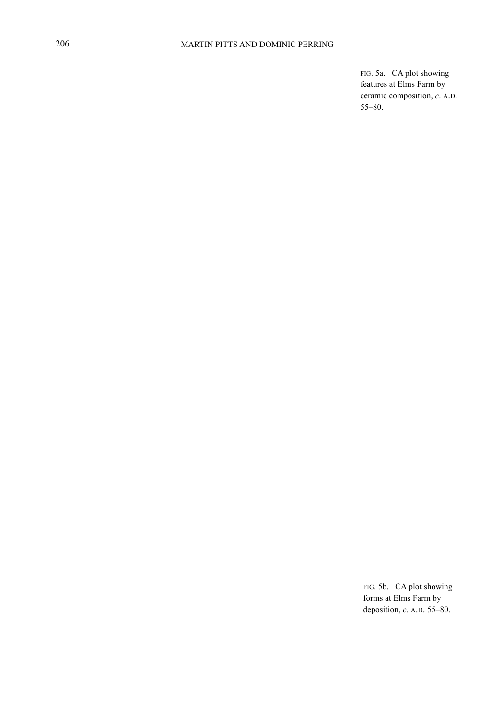FIG. 5a. CA plot showing features at Elms Farm by ceramic composition, c. A.D.  $55 - 80.$ 

FIG. 5b. CA plot showing forms at Elms Farm by deposition, c. A.D. 55-80.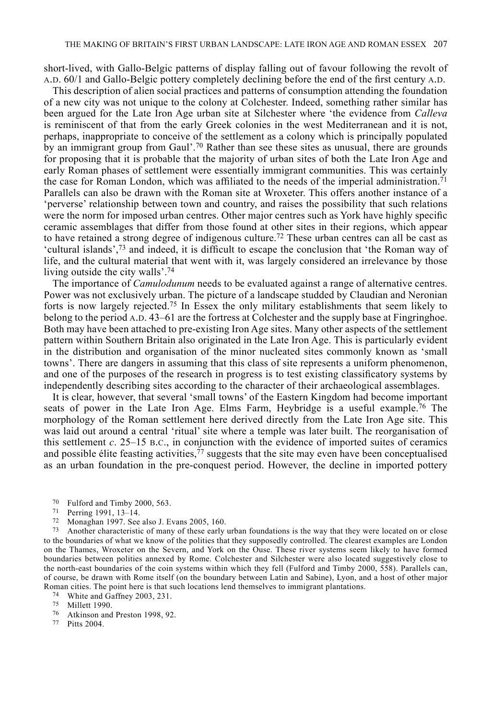short-lived, with Gallo-Belgic patterns of display falling out of favour following the revolt of A.D. 60/1 and Gallo-Belgic pottery completely declining before the end of the first century A.D.

This description of alien social practices and patterns of consumption attending the foundation of a new city was not unique to the colony at Colchester. Indeed, something rather similar has been argued for the Late Iron Age urban site at Silchester where 'the evidence from Calleva is reminiscent of that from the early Greek colonies in the west Mediterranean and it is not, perhaps, inappropriate to conceive of the settlement as a colony which is principally populated by an immigrant group from Gaul'.<sup>70</sup> Rather than see these sites as unusual, there are grounds for proposing that it is probable that the majority of urban sites of both the Late Iron Age and early Roman phases of settlement were essentially immigrant communities. This was certainly the case for Roman London, which was affiliated to the needs of the imperial administration.<sup>71</sup> Parallels can also be drawn with the Roman site at Wroxeter. This offers another instance of a 'perverse' relationship between town and country, and raises the possibility that such relations were the norm for imposed urban centres. Other major centres such as York have highly specific ceramic assemblages that differ from those found at other sites in their regions, which appear to have retained a strong degree of indigenous culture.<sup>72</sup> These urban centres can all be cast as 'cultural islands',<sup>73</sup> and indeed, it is difficult to escape the conclusion that 'the Roman way of life, and the cultural material that went with it, was largely considered an irrelevance by those living outside the city walls'.<sup>74</sup>

The importance of *Camulodunum* needs to be evaluated against a range of alternative centres. Power was not exclusively urban. The picture of a landscape studded by Claudian and Neronian forts is now largely rejected.<sup>75</sup> In Essex the only military establishments that seem likely to belong to the period A.D. 43–61 are the fortress at Colchester and the supply base at Fingringhoe. Both may have been attached to pre-existing Iron Age sites. Many other aspects of the settlement pattern within Southern Britain also originated in the Late Iron Age. This is particularly evident in the distribution and organisation of the minor nucleated sites commonly known as 'small towns'. There are dangers in assuming that this class of site represents a uniform phenomenon, and one of the purposes of the research in progress is to test existing classificatory systems by independently describing sites according to the character of their archaeological assemblages.

It is clear, however, that several 'small towns' of the Eastern Kingdom had become important seats of power in the Late Iron Age. Elms Farm, Heybridge is a useful example.<sup>76</sup> The morphology of the Roman settlement here derived directly from the Late Iron Age site. This was laid out around a central 'ritual' site where a temple was later built. The reorganisation of this settlement  $c$ . 25–15 B.C., in conjunction with the evidence of imported suites of ceramics and possible élite feasting activities, $77$  suggests that the site may even have been conceptualised as an urban foundation in the pre-conquest period. However, the decline in imported pottery

- 70 Fulford and Timby 2000, 563.
- 71 Perring 1991, 13-14.
- $72$ Monaghan 1997. See also J. Evans 2005, 160.

73 Another characteristic of many of these early urban foundations is the way that they were located on or close to the boundaries of what we know of the polities that they supposedly controlled. The clearest examples are London on the Thames, Wroxeter on the Severn, and York on the Ouse. These river systems seem likely to have formed boundaries between polities annexed by Rome. Colchester and Silchester were also located suggestively close to the north-east boundaries of the coin systems within which they fell (Fulford and Timby 2000, 558). Parallels can, of course, be drawn with Rome itself (on the boundary between Latin and Sabine), Lyon, and a host of other major Roman cities. The point here is that such locations lend themselves to immigrant plantations.

<sup>74</sup> White and Gaffney 2003, 231.

- 76 Atkinson and Preston 1998, 92.
- 77 Pitts 2004.

<sup>75</sup> Millett 1990.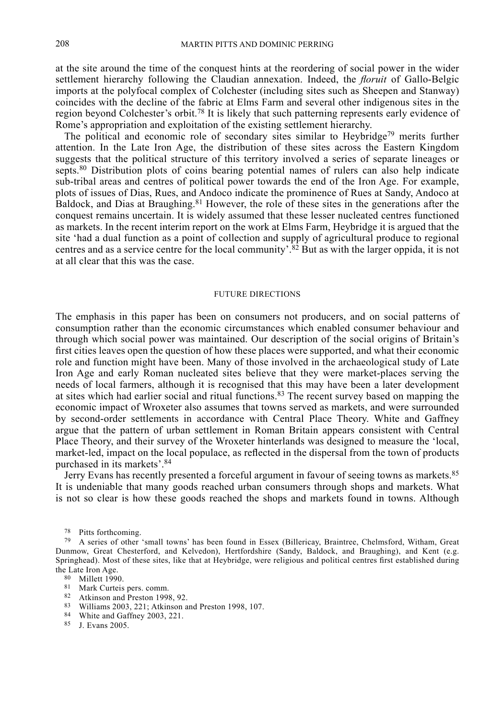at the site around the time of the conquest hints at the reordering of social power in the wider settlement hierarchy following the Claudian annexation. Indeed, the *floruit* of Gallo-Belgic imports at the polyfocal complex of Colchester (including sites such as Sheepen and Stanway) coincides with the decline of the fabric at Elms Farm and several other indigenous sites in the region beyond Colchester's orbit.<sup>78</sup> It is likely that such patterning represents early evidence of Rome's appropriation and exploitation of the existing settlement hierarchy.

The political and economic role of secondary sites similar to Heybridge<sup>79</sup> merits further attention. In the Late Iron Age, the distribution of these sites across the Eastern Kingdom suggests that the political structure of this territory involved a series of separate lineages or septs.<sup>80</sup> Distribution plots of coins bearing potential names of rulers can also help indicate sub-tribal areas and centres of political power towards the end of the Iron Age. For example, plots of issues of Dias, Rues, and Andoco indicate the prominence of Rues at Sandy, Andoco at Baldock, and Dias at Braughing.<sup>81</sup> However, the role of these sites in the generations after the conquest remains uncertain. It is widely assumed that these lesser nucleated centres functioned as markets. In the recent interim report on the work at Elms Farm, Heybridge it is argued that the site 'had a dual function as a point of collection and supply of agricultural produce to regional centres and as a service centre for the local community'.<sup>82</sup> But as with the larger oppida, it is not at all clear that this was the case

#### **FUTURE DIRECTIONS**

The emphasis in this paper has been on consumers not producers, and on social patterns of consumption rather than the economic circumstances which enabled consumer behaviour and through which social power was maintained. Our description of the social origins of Britain's first cities leaves open the question of how these places were supported, and what their economic role and function might have been. Many of those involved in the archaeological study of Late Iron Age and early Roman nucleated sites believe that they were market-places serving the needs of local farmers, although it is recognised that this may have been a later development at sites which had earlier social and ritual functions.<sup>83</sup> The recent survey based on mapping the economic impact of Wroxeter also assumes that towns served as markets, and were surrounded by second-order settlements in accordance with Central Place Theory. White and Gaffney argue that the pattern of urban settlement in Roman Britain appears consistent with Central Place Theory, and their survey of the Wroxeter hinterlands was designed to measure the 'local, market-led, impact on the local populace, as reflected in the dispersal from the town of products purchased in its markets'.<sup>84</sup>

Jerry Evans has recently presented a forceful argument in favour of seeing towns as markets.<sup>85</sup> It is undeniable that many goods reached urban consumers through shops and markets. What is not so clear is how these goods reached the shops and markets found in towns. Although

78 Pitts forthcoming.

79 A series of other 'small towns' has been found in Essex (Billericay, Braintree, Chelmsford, Witham, Great Dunmow, Great Chesterford, and Kelvedon), Hertfordshire (Sandy, Baldock, and Braughing), and Kent (e.g. Springhead). Most of these sites, like that at Heybridge, were religious and political centres first established during the Late Iron Age.

- 80 Millett 1990.
- 81 Mark Curteis pers. comm.
- 82 Atkinson and Preston 1998, 92.
- 83 Williams 2003 221: Atkinson and Preston 1998 107
- 84 White and Gaffney 2003, 221.
- <sup>85</sup> J. Evans 2005.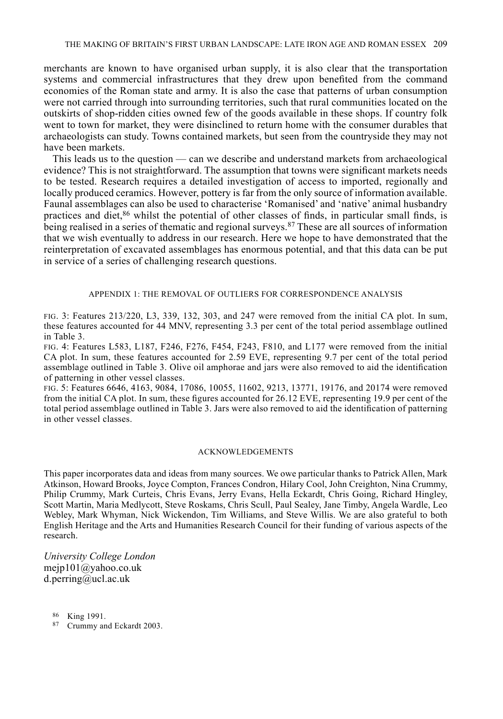merchants are known to have organised urban supply, it is also clear that the transportation systems and commercial infrastructures that they drew upon benefited from the command economies of the Roman state and army. It is also the case that patterns of urban consumption were not carried through into surrounding territories, such that rural communities located on the outskirts of shop-ridden cities owned few of the goods available in these shops. If country folk went to town for market, they were disinclined to return home with the consumer durables that archaeologists can study. Towns contained markets, but seen from the countryside they may not have been markets.

This leads us to the question — can we describe and understand markets from archaeological evidence? This is not straightforward. The assumption that towns were significant markets needs to be tested. Research requires a detailed investigation of access to imported, regionally and locally produced ceramics. However, pottery is far from the only source of information available. Faunal assemblages can also be used to characterise 'Romanised' and 'native' animal husbandry practices and diet, $86$  whilst the potential of other classes of finds, in particular small finds, is being realised in a series of thematic and regional surveys.<sup>87</sup> These are all sources of information that we wish eventually to address in our research. Here we hope to have demonstrated that the reinterpretation of excavated assemblages has enormous potential, and that this data can be put in service of a series of challenging research questions.

#### APPENDIX 1: THE REMOVAL OF OUTLIERS FOR CORRESPONDENCE ANALYSIS

FIG. 3: Features 213/220, L3, 339, 132, 303, and 247 were removed from the initial CA plot. In sum. these features accounted for 44 MNV, representing 3.3 per cent of the total period assemblage outlined in Table 3.

FIG. 4: Features L583, L187, F246, F276, F454, F243, F810, and L177 were removed from the initial CA plot. In sum, these features accounted for 2.59 EVE, representing 9.7 per cent of the total period assemblage outlined in Table 3. Olive oil amphorae and jars were also removed to aid the identification of patterning in other vessel classes.

FIG. 5: Features 6646, 4163, 9084, 17086, 10055, 11602, 9213, 13771, 19176, and 20174 were removed from the initial CA plot. In sum, these figures accounted for 26.12 EVE, representing 19.9 per cent of the total period assemblage outlined in Table 3. Jars were also removed to aid the identification of patterning in other vessel classes.

#### **ACKNOWLEDGEMENTS**

This paper incorporates data and ideas from many sources. We owe particular thanks to Patrick Allen, Mark Atkinson, Howard Brooks, Joyce Compton, Frances Condron, Hilary Cool, John Creighton, Nina Crummy, Philip Crummy, Mark Curteis, Chris Evans, Jerry Evans, Hella Eckardt, Chris Going, Richard Hingley, Scott Martin, Maria Medlycott, Steve Roskams, Chris Scull, Paul Sealey, Jane Timby, Angela Wardle, Leo Webley, Mark Whyman, Nick Wickendon, Tim Williams, and Steve Willis. We are also grateful to both English Heritage and the Arts and Humanities Research Council for their funding of various aspects of the research.

University College London  $m$ ejp101@yahoo.co.uk d.perring@ucl.ac.uk

86 King 1991.

87 Crummy and Eckardt 2003.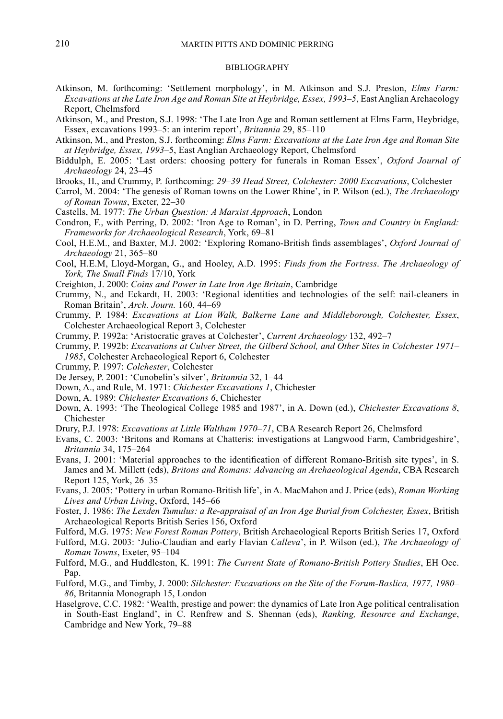#### **BIBLIOGRAPHY**

- Atkinson, M. forthcoming: 'Settlement morphology', in M. Atkinson and S.J. Preston, Elms Farm: Excavations at the Late Iron Age and Roman Site at Heybridge, Essex, 1993–5, East Anglian Archaeology Report, Chelmsford
- Atkinson, M., and Preston, S.J. 1998: 'The Late Iron Age and Roman settlement at Elms Farm, Heybridge, Essex, excavations 1993-5: an interim report', Britannia 29, 85-110
- Atkinson, M., and Preston, S.J. forthcoming: Elms Farm: Excavations at the Late Iron Age and Roman Site at Heybridge, Essex, 1993–5, East Anglian Archaeology Report, Chelmsford
- Biddulph, E. 2005: 'Last orders: choosing pottery for funerals in Roman Essex', Oxford Journal of Archaeology 24, 23-45
- Brooks, H., and Crummy, P. forthcoming: 29–39 Head Street, Colchester: 2000 Excavations, Colchester
- Carrol, M. 2004: 'The genesis of Roman towns on the Lower Rhine', in P. Wilson (ed.), The Archaeology of Roman Towns, Exeter, 22-30
- Castells, M. 1977: The Urban Question: A Marxist Approach, London
- Condron, F., with Perring, D. 2002: 'Iron Age to Roman', in D. Perring, Town and Country in England: Frameworks for Archaeological Research, York, 69-81
- Cool, H.E.M., and Baxter, M.J. 2002: 'Exploring Romano-British finds assemblages', Oxford Journal of Archaeology 21, 365-80
- Cool, H.E.M, Lloyd-Morgan, G., and Hooley, A.D. 1995: Finds from the Fortress. The Archaeology of York, The Small Finds 17/10, York
- Creighton, J. 2000: Coins and Power in Late Iron Age Britain, Cambridge
- Crummy, N., and Eckardt, H. 2003: 'Regional identities and technologies of the self: nail-cleaners in Roman Britain', Arch. Journ. 160, 44-69
- Crummy, P. 1984: Excavations at Lion Walk, Balkerne Lane and Middleborough, Colchester, Essex, Colchester Archaeological Report 3, Colchester
- Crummy, P. 1992a: 'Aristocratic graves at Colchester', Current Archaeology 132, 492-7
- Crummy, P. 1992b: Excavations at Culver Street, the Gilberd School, and Other Sites in Colchester 1971– 1985, Colchester Archaeological Report 6, Colchester
- Crummy, P. 1997: Colchester, Colchester
- De Jersey, P. 2001: 'Cunobelin's silver', Britannia 32, 1-44
- Down, A., and Rule, M. 1971: Chichester Excavations 1, Chichester
- Down, A. 1989: Chichester Excavations 6, Chichester
- Down, A. 1993: 'The Theological College 1985 and 1987', in A. Down (ed.), Chichester Excavations 8, Chichester
- Drury, P.J. 1978: Excavations at Little Waltham 1970–71. CBA Research Report 26. Chelmsford
- Evans, C. 2003: 'Britons and Romans at Chatteris: investigations at Langwood Farm, Cambridgeshire', Britannia 34, 175-264
- Evans, J. 2001: 'Material approaches to the identification of different Romano-British site types', in S. James and M. Millett (eds), Britons and Romans: Advancing an Archaeological Agenda, CBA Research Report 125, York, 26-35
- Evans, J. 2005: 'Pottery in urban Romano-British life', in A. MacMahon and J. Price (eds), Roman Working Lives and Urban Living, Oxford, 145-66
- Foster, J. 1986: The Lexden Tumulus: a Re-appraisal of an Iron Age Burial from Colchester, Essex, British Archaeological Reports British Series 156. Oxford
- Fulford, M.G. 1975: New Forest Roman Pottery, British Archaeological Reports British Series 17, Oxford
- Fulford, M.G. 2003: 'Julio-Claudian and early Flavian Calleva', in P. Wilson (ed.), The Archaeology of Roman Towns, Exeter, 95-104
- Fulford, M.G., and Huddleston, K. 1991: The Current State of Romano-British Pottery Studies, EH Occ. Pap.
- Fulford, M.G., and Timby, J. 2000: Silchester: Excavations on the Site of the Forum-Baslica, 1977, 1980-86, Britannia Monograph 15, London
- Haselgrove, C.C. 1982: 'Wealth, prestige and power: the dynamics of Late Iron Age political centralisation in South-East England', in C. Renfrew and S. Shennan (eds), Ranking, Resource and Exchange, Cambridge and New York, 79-88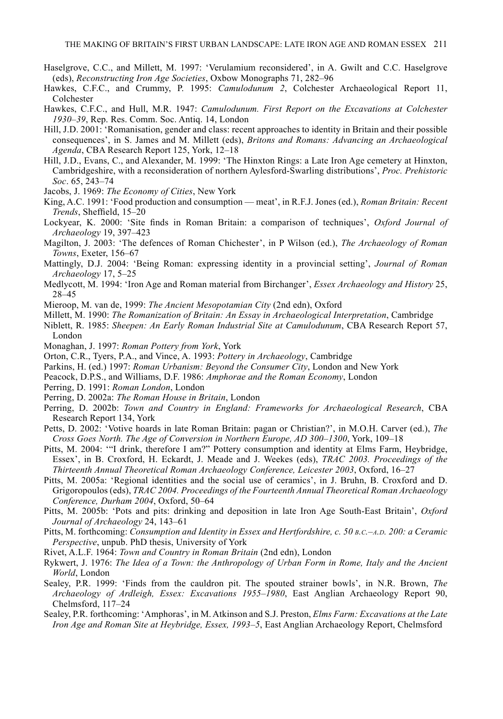- Haselgrove, C.C., and Millett, M. 1997: 'Verulamium reconsidered', in A. Gwilt and C.C. Haselgrove (eds), *Reconstructing Iron Age Societies*, Oxbow Monographs 71, 282–96
- Hawkes, C.F.C., and Crummy, P. 1995: Camulodunum 2, Colchester Archaeological Report 11, Colchester
- Hawkes, C.F.C., and Hull, M.R. 1947: Camulodunum. First Report on the Excavations at Colchester 1930–39, Rep. Res. Comm. Soc. Antiq. 14, London
- Hill, J.D. 2001: 'Romanisation, gender and class: recent approaches to identity in Britain and their possible consequences', in S. James and M. Millett (eds), Britons and Romans: Advancing an Archaeological Agenda, CBA Research Report 125, York, 12-18
- Hill, J.D., Evans, C., and Alexander, M. 1999: 'The Hinxton Rings: a Late Iron Age cemetery at Hinxton, Cambridgeshire, with a reconsideration of northern Aylesford-Swarling distributions', Proc. Prehistoric Soc. 65, 243-74
- Jacobs, J. 1969: The Economy of Cities, New York
- King, A.C. 1991: 'Food production and consumption meat', in R.F.J. Jones (ed.), Roman Britain: Recent Trends, Sheffield, 15-20
- Lockyear, K. 2000: 'Site finds in Roman Britain: a comparison of techniques', Oxford Journal of Archaeology 19, 397-423
- Magilton, J. 2003: 'The defences of Roman Chichester', in P Wilson (ed.), The Archaeology of Roman Towns, Exeter, 156-67
- Mattingly, D.J. 2004: 'Being Roman: expressing identity in a provincial setting', Journal of Roman Archaeology 17, 5-25
- Medlycott, M. 1994: 'Iron Age and Roman material from Birchanger', *Essex Archaeology and History* 25,  $28 - 45$
- Mieroop, M. van de, 1999: The Ancient Mesopotamian City (2nd edn), Oxford
- Millett, M. 1990: The Romanization of Britain: An Essay in Archaeological Interpretation, Cambridge
- Niblett, R. 1985: Sheepen: An Early Roman Industrial Site at Camulodunum, CBA Research Report 57, London
- Monaghan, J. 1997: Roman Pottery from York, York
- Orton, C.R., Tyers, P.A., and Vince, A. 1993: Pottery in Archaeology, Cambridge
- Parkins, H. (ed.) 1997: Roman Urbanism: Beyond the Consumer City, London and New York
- Peacock, D.P.S., and Williams, D.F. 1986: Amphorae and the Roman Economy, London
- Perring, D. 1991: Roman London, London
- Perring, D. 2002a: The Roman House in Britain, London
- Perring, D. 2002b: Town and Country in England: Frameworks for Archaeological Research, CBA Research Report 134, York
- Petts, D. 2002: 'Votive hoards in late Roman Britain: pagan or Christian?', in M.O.H. Carver (ed.). The Cross Goes North. The Age of Conversion in Northern Europe, AD 300-1300, York, 109-18
- Pitts, M. 2004: "I drink, therefore I am?" Pottery consumption and identity at Elms Farm, Heybridge, Essex', in B. Croxford, H. Eckardt, J. Meade and J. Weekes (eds), TRAC 2003. Proceedings of the Thirteenth Annual Theoretical Roman Archaeology Conference, Leicester 2003, Oxford, 16-27
- Pitts, M. 2005a: 'Regional identities and the social use of ceramics', in J. Bruhn, B. Croxford and D. Grigoropoulos (eds), TRAC 2004. Proceedings of the Fourteenth Annual Theoretical Roman Archaeology Conference, Durham 2004, Oxford, 50–64
- Pitts, M. 2005b: 'Pots and pits: drinking and deposition in late Iron Age South-East Britain', Oxford Journal of Archaeology 24, 143-61
- Pitts, M. forthcoming: Consumption and Identity in Essex and Hertfordshire, c. 50 B.C.–A.D. 200: a Ceramic Perspective, unpub. PhD thesis, University of York
- Rivet, A.L.F. 1964: Town and Country in Roman Britain (2nd edn), London
- Rykwert, J. 1976: The Idea of a Town: the Anthropology of Urban Form in Rome, Italy and the Ancient World, London
- Sealey, P.R. 1999: 'Finds from the cauldron pit. The spouted strainer bowls', in N.R. Brown, The Archaeology of Ardleigh, Essex: Excavations 1955–1980, East Anglian Archaeology Report 90, Chelmsford, 117-24
- Sealey, P.R. forthcoming: 'Amphoras', in M. Atkinson and S.J. Preston. Elms Farm: Excavations at the Late Iron Age and Roman Site at Heybridge, Essex, 1993–5, East Anglian Archaeology Report, Chelmsford